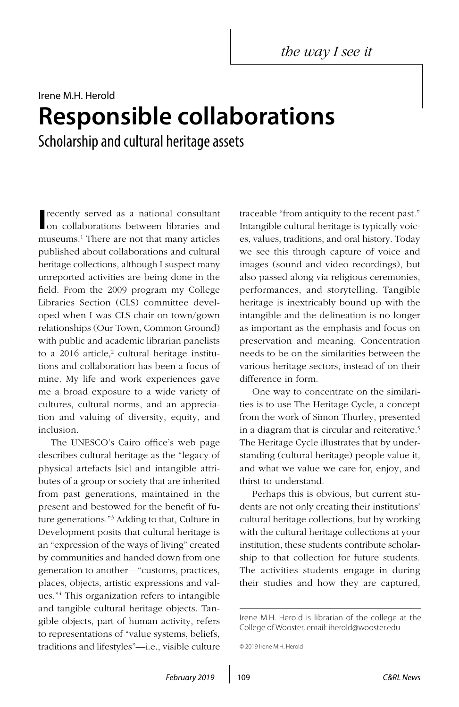*the way I see it*

## Irene M.H. Herold **Responsible collaborations** Scholarship and cultural heritage assets

recently served as a national consultant on collaborations between libraries and museums.1 There are not that many articles published about collaborations and cultural heritage collections, although I suspect many unreported activities are being done in the field. From the 2009 program my College Libraries Section (CLS) committee developed when I was CLS chair on town/gown relationships (Our Town, Common Ground) with public and academic librarian panelists to a 2016 article,<sup>2</sup> cultural heritage institutions and collaboration has been a focus of mine. My life and work experiences gave me a broad exposure to a wide variety of cultures, cultural norms, and an appreciation and valuing of diversity, equity, and inclusion.

The UNESCO's Cairo office's web page describes cultural heritage as the "legacy of physical artefacts [sic] and intangible attributes of a group or society that are inherited from past generations, maintained in the present and bestowed for the benefit of future generations."3 Adding to that, Culture in Development posits that cultural heritage is an "expression of the ways of living" created by communities and handed down from one generation to another—"customs, practices, places, objects, artistic expressions and values."4 This organization refers to intangible and tangible cultural heritage objects. Tangible objects, part of human activity, refers to representations of "value systems, beliefs, traditions and lifestyles"—i.e., visible culture

traceable "from antiquity to the recent past." Intangible cultural heritage is typically voices, values, traditions, and oral history. Today we see this through capture of voice and images (sound and video recordings), but also passed along via religious ceremonies, performances, and storytelling. Tangible heritage is inextricably bound up with the intangible and the delineation is no longer as important as the emphasis and focus on preservation and meaning. Concentration needs to be on the similarities between the various heritage sectors, instead of on their difference in form.

One way to concentrate on the similarities is to use The Heritage Cycle, a concept from the work of Simon Thurley, presented in a diagram that is circular and reiterative.5 The Heritage Cycle illustrates that by understanding (cultural heritage) people value it, and what we value we care for, enjoy, and thirst to understand.

Perhaps this is obvious, but current students are not only creating their institutions' cultural heritage collections, but by working with the cultural heritage collections at your institution, these students contribute scholarship to that collection for future students. The activities students engage in during their studies and how they are captured,

Irene M.H. Herold is librarian of the college at the College of Wooster, email[: iherold@wooster.edu](mailto:%20iherold%40wooster.edu?subject=)

<sup>© 2019</sup> Irene M.H. Herold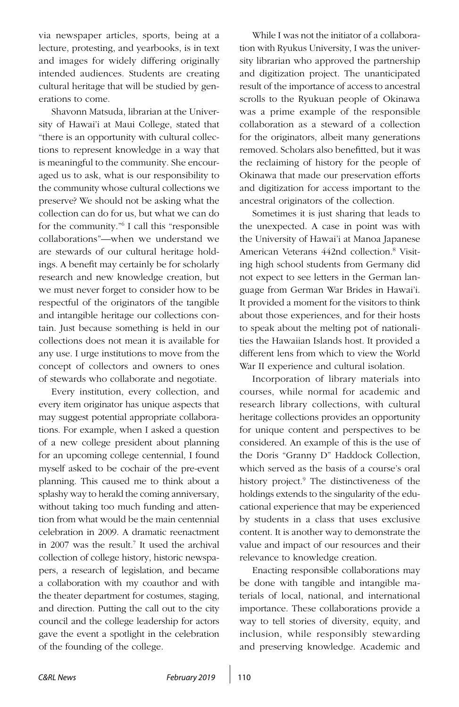via newspaper articles, sports, being at a lecture, protesting, and yearbooks, is in text and images for widely differing originally intended audiences. Students are creating cultural heritage that will be studied by generations to come.

Shavonn Matsuda, librarian at the University of Hawai'i at Maui College, stated that "there is an opportunity with cultural collections to represent knowledge in a way that is meaningful to the community. She encouraged us to ask, what is our responsibility to the community whose cultural collections we preserve? We should not be asking what the collection can do for us, but what we can do for the community."6 I call this "responsible collaborations"—when we understand we are stewards of our cultural heritage holdings. A benefit may certainly be for scholarly research and new knowledge creation, but we must never forget to consider how to be respectful of the originators of the tangible and intangible heritage our collections contain. Just because something is held in our collections does not mean it is available for any use. I urge institutions to move from the concept of collectors and owners to ones of stewards who collaborate and negotiate.

Every institution, every collection, and every item originator has unique aspects that may suggest potential appropriate collaborations. For example, when I asked a question of a new college president about planning for an upcoming college centennial, I found myself asked to be cochair of the pre-event planning. This caused me to think about a splashy way to herald the coming anniversary, without taking too much funding and attention from what would be the main centennial celebration in 2009. A dramatic reenactment in 2007 was the result.7 It used the archival collection of college history, historic newspapers, a research of legislation, and became a collaboration with my coauthor and with the theater department for costumes, staging, and direction. Putting the call out to the city council and the college leadership for actors gave the event a spotlight in the celebration of the founding of the college.

While I was not the initiator of a collaboration with Ryukus University, I was the university librarian who approved the partnership and digitization project. The unanticipated result of the importance of access to ancestral scrolls to the Ryukuan people of Okinawa was a prime example of the responsible collaboration as a steward of a collection for the originators, albeit many generations removed. Scholars also benefitted, but it was the reclaiming of history for the people of Okinawa that made our preservation efforts and digitization for access important to the ancestral originators of the collection.

Sometimes it is just sharing that leads to the unexpected. A case in point was with the University of Hawai'i at Manoa Japanese American Veterans 442nd collection.8 Visiting high school students from Germany did not expect to see letters in the German language from German War Brides in Hawai'i. It provided a moment for the visitors to think about those experiences, and for their hosts to speak about the melting pot of nationalities the Hawaiian Islands host. It provided a different lens from which to view the World War II experience and cultural isolation.

Incorporation of library materials into courses, while normal for academic and research library collections, with cultural heritage collections provides an opportunity for unique content and perspectives to be considered. An example of this is the use of the Doris "Granny D" Haddock Collection, which served as the basis of a course's oral history project.<sup>9</sup> The distinctiveness of the holdings extends to the singularity of the educational experience that may be experienced by students in a class that uses exclusive content. It is another way to demonstrate the value and impact of our resources and their relevance to knowledge creation.

Enacting responsible collaborations may be done with tangible and intangible materials of local, national, and international importance. These collaborations provide a way to tell stories of diversity, equity, and inclusion, while responsibly stewarding and preserving knowledge. Academic and